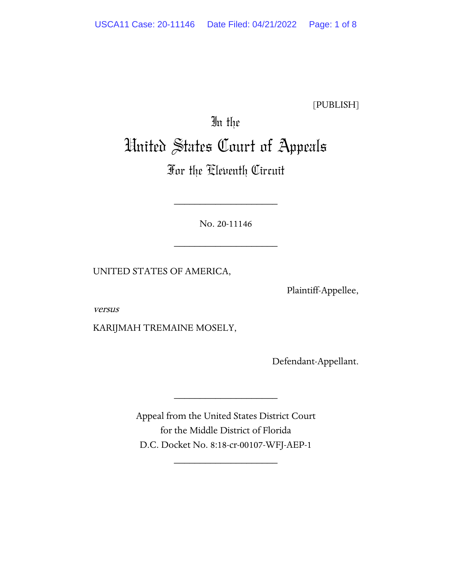[PUBLISH]

# In the United States Court of Appeals

# For the Eleventh Circuit

No. 20-11146

\_\_\_\_\_\_\_\_\_\_\_\_\_\_\_\_\_\_\_\_

\_\_\_\_\_\_\_\_\_\_\_\_\_\_\_\_\_\_\_\_

UNITED STATES OF AMERICA,

Plaintiff-Appellee,

versus

KARIJMAH TREMAINE MOSELY,

Defendant-Appellant.

Appeal from the United States District Court for the Middle District of Florida D.C. Docket No. 8:18-cr-00107-WFJ-AEP-1

\_\_\_\_\_\_\_\_\_\_\_\_\_\_\_\_\_\_\_\_

\_\_\_\_\_\_\_\_\_\_\_\_\_\_\_\_\_\_\_\_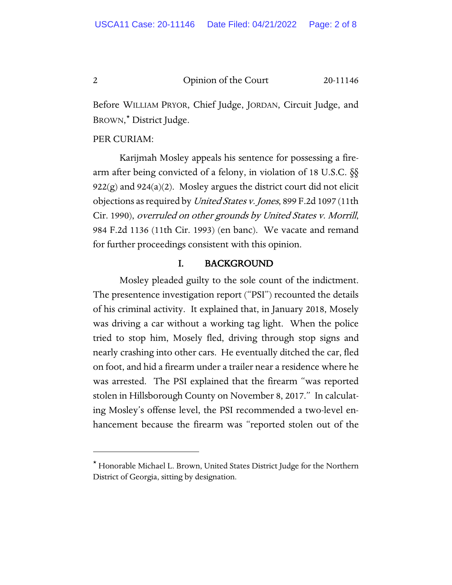Before WILLIAM PRYOR, Chief Judge, JORDAN, Circuit Judge, and BROWN,[\\*](#page-1-0) District Judge.

# PER CURIAM:

Karijmah Mosley appeals his sentence for possessing a firearm after being convicted of a felony, in violation of 18 U.S.C. §§  $922(g)$  and  $924(a)(2)$ . Mosley argues the district court did not elicit objections as required by United States v. Jones, 899 F.2d 1097 (11th Cir. 1990), overruled on other grounds by United States v. Morrill, 984 F.2d 1136 (11th Cir. 1993) (en banc). We vacate and remand for further proceedings consistent with this opinion.

#### I. BACKGROUND

Mosley pleaded guilty to the sole count of the indictment. The presentence investigation report ("PSI") recounted the details of his criminal activity. It explained that, in January 2018, Mosely was driving a car without a working tag light. When the police tried to stop him, Mosely fled, driving through stop signs and nearly crashing into other cars. He eventually ditched the car, fled on foot, and hid a firearm under a trailer near a residence where he was arrested. The PSI explained that the firearm "was reported stolen in Hillsborough County on November 8, 2017." In calculating Mosley's offense level, the PSI recommended a two-level enhancement because the firearm was "reported stolen out of the

<span id="page-1-0"></span><sup>\*</sup> Honorable Michael L. Brown, United States District Judge for the Northern District of Georgia, sitting by designation.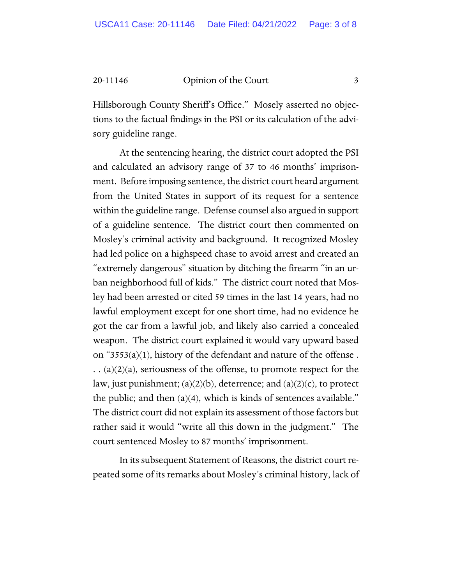20-11146 Opinion of the Court 3

Hillsborough County Sheriff's Office." Mosely asserted no objections to the factual findings in the PSI or its calculation of the advisory guideline range.

At the sentencing hearing, the district court adopted the PSI and calculated an advisory range of 37 to 46 months' imprisonment. Before imposing sentence, the district court heard argument from the United States in support of its request for a sentence within the guideline range. Defense counsel also argued in support of a guideline sentence. The district court then commented on Mosley's criminal activity and background. It recognized Mosley had led police on a highspeed chase to avoid arrest and created an "extremely dangerous" situation by ditching the firearm "in an urban neighborhood full of kids." The district court noted that Mosley had been arrested or cited 59 times in the last 14 years, had no lawful employment except for one short time, had no evidence he got the car from a lawful job, and likely also carried a concealed weapon. The district court explained it would vary upward based on "3553(a)(1), history of the defendant and nature of the offense.  $\ldots$  (a)(2)(a), seriousness of the offense, to promote respect for the law, just punishment;  $(a)(2)(b)$ , deterrence; and  $(a)(2)(c)$ , to protect the public; and then (a)(4), which is kinds of sentences available." The district court did not explain its assessment of those factors but rather said it would "write all this down in the judgment." The court sentenced Mosley to 87 months' imprisonment.

In its subsequent Statement of Reasons, the district court repeated some of its remarks about Mosley's criminal history, lack of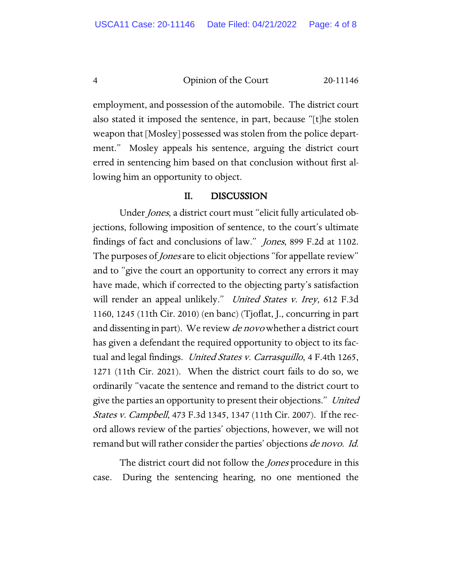employment, and possession of the automobile. The district court also stated it imposed the sentence, in part, because "[t]he stolen weapon that [Mosley] possessed was stolen from the police department." Mosley appeals his sentence, arguing the district court erred in sentencing him based on that conclusion without first allowing him an opportunity to object.

#### II. DISCUSSION

Under Jones, a district court must "elicit fully articulated objections, following imposition of sentence, to the court's ultimate findings of fact and conclusions of law." Jones, 899 F.2d at 1102. The purposes of *Jones* are to elicit objections "for appellate review" and to "give the court an opportunity to correct any errors it may have made, which if corrected to the objecting party's satisfaction will render an appeal unlikely." *United States v. Irey*, 612 F.3d 1160, 1245 (11th Cir. 2010) (en banc) (Tjoflat, J., concurring in part and dissenting in part). We review *de novo* whether a district court has given a defendant the required opportunity to object to its factual and legal findings. *United States v. Carrasquillo*, 4 F.4th 1265, 1271 (11th Cir. 2021). When the district court fails to do so, we ordinarily "vacate the sentence and remand to the district court to give the parties an opportunity to present their objections." United States v. Campbell, 473 F.3d 1345, 1347 (11th Cir. 2007). If the record allows review of the parties' objections, however, we will not remand but will rather consider the parties' objections *de novo. Id.* 

The district court did not follow the *Jones* procedure in this case. During the sentencing hearing, no one mentioned the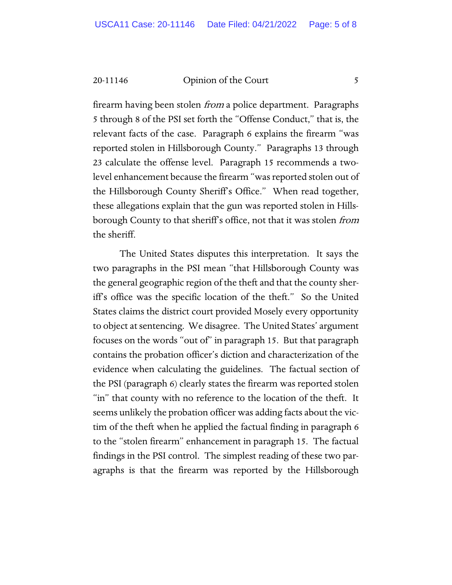20-11146 Opinion of the Court 5

firearm having been stolen *from* a police department. Paragraphs 5 through 8 of the PSI set forth the "Offense Conduct," that is, the relevant facts of the case. Paragraph 6 explains the firearm "was reported stolen in Hillsborough County." Paragraphs 13 through 23 calculate the offense level. Paragraph 15 recommends a twolevel enhancement because the firearm "was reported stolen out of the Hillsborough County Sheriff's Office." When read together, these allegations explain that the gun was reported stolen in Hillsborough County to that sheriff's office, not that it was stolen *from* the sheriff.

The United States disputes this interpretation. It says the two paragraphs in the PSI mean "that Hillsborough County was the general geographic region of the theft and that the county sheriff's office was the specific location of the theft." So the United States claims the district court provided Mosely every opportunity to object at sentencing. We disagree. The United States' argument focuses on the words "out of" in paragraph 15. But that paragraph contains the probation officer's diction and characterization of the evidence when calculating the guidelines. The factual section of the PSI (paragraph 6) clearly states the firearm was reported stolen "in" that county with no reference to the location of the theft. It seems unlikely the probation officer was adding facts about the victim of the theft when he applied the factual finding in paragraph 6 to the "stolen firearm" enhancement in paragraph 15. The factual findings in the PSI control. The simplest reading of these two paragraphs is that the firearm was reported by the Hillsborough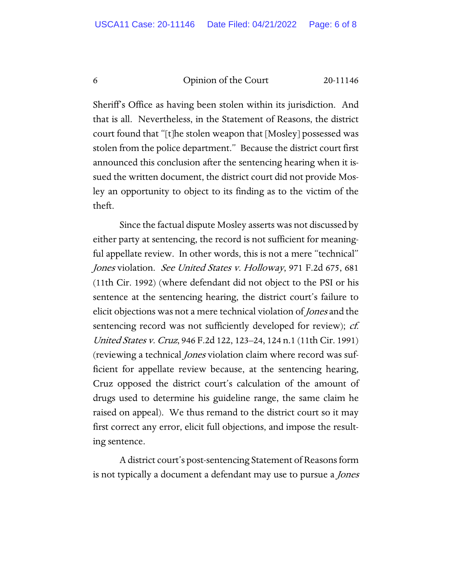Sheriff's Office as having been stolen within its jurisdiction. And that is all. Nevertheless, in the Statement of Reasons, the district court found that "[t]he stolen weapon that [Mosley] possessed was stolen from the police department." Because the district court first announced this conclusion after the sentencing hearing when it issued the written document, the district court did not provide Mosley an opportunity to object to its finding as to the victim of the theft.

Since the factual dispute Mosley asserts was not discussed by either party at sentencing, the record is not sufficient for meaningful appellate review. In other words, this is not a mere "technical" Jones violation. See United States v. Holloway, 971 F.2d 675, 681 (11th Cir. 1992) (where defendant did not object to the PSI or his sentence at the sentencing hearing, the district court's failure to elicit objections was not a mere technical violation of *Jones* and the sentencing record was not sufficiently developed for review); *cf.* United States v. Cruz, 946 F.2d 122, 123–24, 124 n.1 (11th Cir. 1991) (reviewing a technical Jones violation claim where record was sufficient for appellate review because, at the sentencing hearing, Cruz opposed the district court's calculation of the amount of drugs used to determine his guideline range, the same claim he raised on appeal). We thus remand to the district court so it may first correct any error, elicit full objections, and impose the resulting sentence.

A district court's post-sentencing Statement of Reasons form is not typically a document a defendant may use to pursue a Jones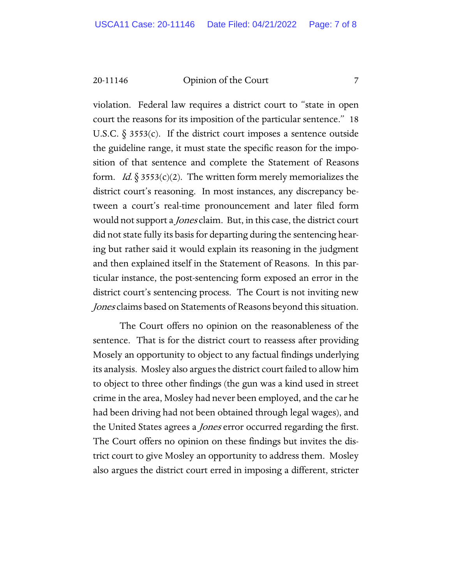20-11146 Opinion of the Court 7

violation. Federal law requires a district court to "state in open court the reasons for its imposition of the particular sentence." 18 U.S.C.  $\S$  3553(c). If the district court imposes a sentence outside the guideline range, it must state the specific reason for the imposition of that sentence and complete the Statement of Reasons form. *Id.*  $\S 3553(c)(2)$ . The written form merely memorializes the district court's reasoning. In most instances, any discrepancy between a court's real-time pronouncement and later filed form would not support a *Jones* claim. But, in this case, the district court did not state fully its basis for departing during the sentencing hearing but rather said it would explain its reasoning in the judgment and then explained itself in the Statement of Reasons. In this particular instance, the post-sentencing form exposed an error in the district court's sentencing process. The Court is not inviting new Jones claims based on Statements of Reasons beyond this situation.

The Court offers no opinion on the reasonableness of the sentence. That is for the district court to reassess after providing Mosely an opportunity to object to any factual findings underlying its analysis. Mosley also argues the district court failed to allow him to object to three other findings (the gun was a kind used in street crime in the area, Mosley had never been employed, and the car he had been driving had not been obtained through legal wages), and the United States agrees a *Jones* error occurred regarding the first. The Court offers no opinion on these findings but invites the district court to give Mosley an opportunity to address them. Mosley also argues the district court erred in imposing a different, stricter